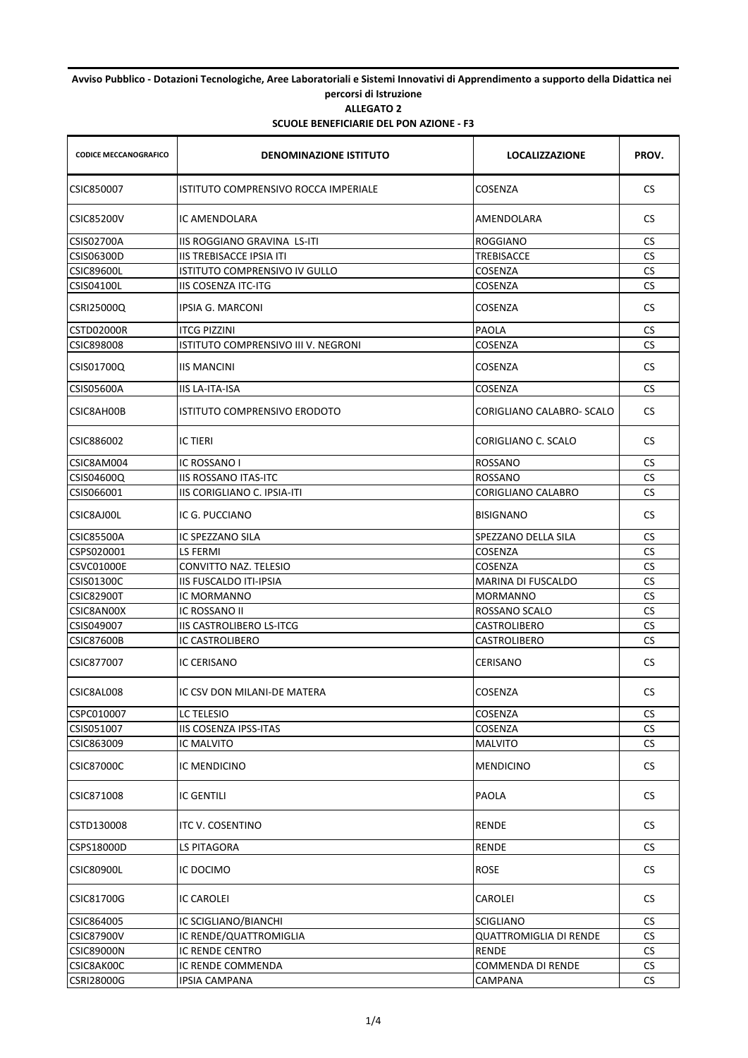## **Avviso Pubblico - Dotazioni Tecnologiche, Aree Laboratoriali e Sistemi Innovativi di Apprendimento a supporto della Didattica nei percorsi di Istruzione ALLEGATO 2**

| <b>CODICE MECCANOGRAFICO</b> | <b>DENOMINAZIONE ISTITUTO</b>        | <b>LOCALIZZAZIONE</b>     | PROV.     |
|------------------------------|--------------------------------------|---------------------------|-----------|
| CSIC850007                   | ISTITUTO COMPRENSIVO ROCCA IMPERIALE | COSENZA                   | CS.       |
| <b>CSIC85200V</b>            | IC AMENDOLARA                        | AMENDOLARA                | CS.       |
| <b>CSIS02700A</b>            | IIS ROGGIANO GRAVINA LS-ITI          | <b>ROGGIANO</b>           | CS.       |
| CSIS06300D                   | IIS TREBISACCE IPSIA ITI             | TREBISACCE                | <b>CS</b> |
| <b>CSIC89600L</b>            | ISTITUTO COMPRENSIVO IV GULLO        | COSENZA                   | <b>CS</b> |
| <b>CSIS04100L</b>            | IIS COSENZA ITC-ITG                  | COSENZA                   | <b>CS</b> |
| CSRI25000Q                   | IPSIA G. MARCONI                     | COSENZA                   | CS.       |
| CSTD02000R                   | <b>ITCG PIZZINI</b>                  | PAOLA                     | СS        |
| CSIC898008                   | ISTITUTO COMPRENSIVO III V. NEGRONI  | COSENZA                   | <b>CS</b> |
| CSIS01700Q                   | <b>IIS MANCINI</b>                   | COSENZA                   | CS.       |
| <b>CSIS05600A</b>            | <b>IIS LA-ITA-ISA</b>                | COSENZA                   | CS        |
| CSIC8AH00B                   | ISTITUTO COMPRENSIVO ERODOTO         | CORIGLIANO CALABRO- SCALO | <b>CS</b> |
| CSIC886002                   | <b>IC TIERI</b>                      | CORIGLIANO C. SCALO       | CS.       |
| CSIC8AM004                   | IC ROSSANO I                         | ROSSANO                   | CS        |
| CSIS04600Q                   | <b>IIS ROSSANO ITAS-ITC</b>          | ROSSANO                   | <b>CS</b> |
| CSIS066001                   | IIS CORIGLIANO C. IPSIA-ITI          | <b>CORIGLIANO CALABRO</b> | СS        |
| CSIC8AJ00L                   | IC G. PUCCIANO                       | <b>BISIGNANO</b>          | <b>CS</b> |
| <b>CSIC85500A</b>            | IC SPEZZANO SILA                     | SPEZZANO DELLA SILA       | <b>CS</b> |
| CSPS020001                   | LS FERMI                             | COSENZA                   | СS        |
| CSVC01000E                   | CONVITTO NAZ. TELESIO                | <b>COSENZA</b>            | <b>CS</b> |
| <b>CSIS01300C</b>            | IIS FUSCALDO ITI-IPSIA               | MARINA DI FUSCALDO        | CS        |
| <b>CSIC82900T</b>            | IC MORMANNO                          | MORMANNO                  | <b>CS</b> |
| CSIC8AN00X                   | IC ROSSANO II                        | ROSSANO SCALO             | <b>CS</b> |
| CSIS049007                   | <b>IIS CASTROLIBERO LS-ITCG</b>      | <b>CASTROLIBERO</b>       | <b>CS</b> |
| <b>CSIC87600B</b>            | IC CASTROLIBERO                      | CASTROLIBERO              | <b>CS</b> |
| CSIC877007                   | IC CERISANO                          | <b>CERISANO</b>           | CS.       |
| CSIC8AL008                   | IC CSV DON MILANI-DE MATERA          | COSENZA                   | CS.       |
| CSPC010007                   | <b>LC TELESIO</b>                    | COSENZA                   | CS.       |
| CSIS051007                   | IIS COSENZA IPSS-ITAS                | COSENZA                   | <b>CS</b> |
| CSIC863009                   | IC MALVITO                           | <b>MALVITO</b>            | CS        |
| <b>CSIC87000C</b>            | IC MENDICINO                         | <b>MENDICINO</b>          | CS        |
| CSIC871008                   | IC GENTILI                           | PAOLA                     | CS.       |
| CSTD130008                   | ITC V. COSENTINO                     | <b>RENDE</b>              | CS.       |
| CSPS18000D                   | LS PITAGORA                          | <b>RENDE</b>              | CS.       |
| <b>CSIC80900L</b>            | IC DOCIMO                            | ROSE                      | <b>CS</b> |
| <b>CSIC81700G</b>            | IC CAROLEI                           | CAROLEI                   | CS.       |
| CSIC864005                   | IC SCIGLIANO/BIANCHI                 | <b>SCIGLIANO</b>          | CS.       |
| <b>CSIC87900V</b>            | IC RENDE/QUATTROMIGLIA               | QUATTROMIGLIA DI RENDE    | CS        |
| <b>CSIC89000N</b>            | IC RENDE CENTRO                      | RENDE                     | <b>CS</b> |
| CSIC8AK00C                   | IC RENDE COMMENDA                    | COMMENDA DI RENDE         | CS        |
| <b>CSRI28000G</b>            | IPSIA CAMPANA                        | CAMPANA                   | <b>CS</b> |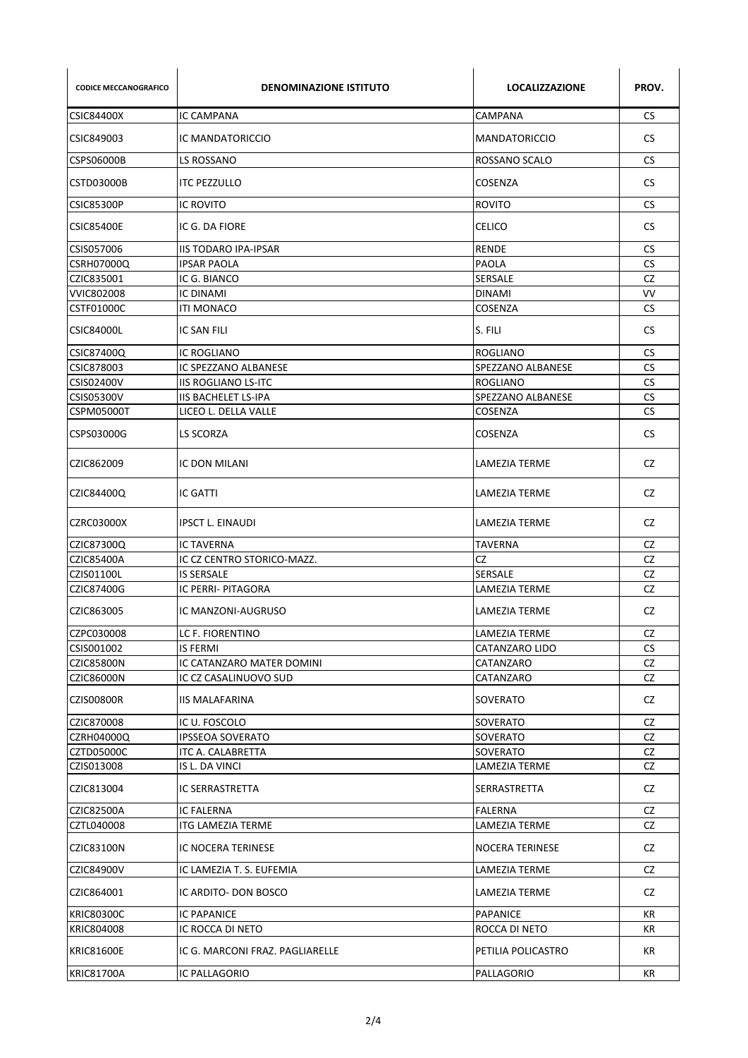| <b>CODICE MECCANOGRAFICO</b> | <b>DENOMINAZIONE ISTITUTO</b>   | <b>LOCALIZZAZIONE</b> | PROV.     |
|------------------------------|---------------------------------|-----------------------|-----------|
| CSIC84400X                   | <b>IC CAMPANA</b>               | CAMPANA               | CS        |
| CSIC849003                   | IC MANDATORICCIO                | <b>MANDATORICCIO</b>  | <b>CS</b> |
| CSPS06000B                   | LS ROSSANO                      | ROSSANO SCALO         | CS.       |
| CSTD03000B                   | <b>ITC PEZZULLO</b>             | COSENZA               | CS.       |
| <b>CSIC85300P</b>            | <b>IC ROVITO</b>                | <b>ROVITO</b>         | <b>CS</b> |
| <b>CSIC85400E</b>            | IC G. DA FIORE                  | <b>CELICO</b>         | <b>CS</b> |
| CSIS057006                   | <b>IIS TODARO IPA-IPSAR</b>     | RENDE                 | <b>CS</b> |
| CSRH07000Q                   | <b>IPSAR PAOLA</b>              | PAOLA                 | <b>CS</b> |
| CZIC835001                   | IC G. BIANCO                    | <b>SERSALE</b>        | <b>CZ</b> |
| VVIC802008                   | <b>IC DINAMI</b>                | <b>DINAMI</b>         | <b>VV</b> |
| CSTF01000C                   | <b>ITI MONACO</b>               | COSENZA               | <b>CS</b> |
| <b>CSIC84000L</b>            | IC SAN FILI                     | S. FILI               | <b>CS</b> |
| CSIC87400Q                   | IC ROGLIANO                     | ROGLIANO              | <b>CS</b> |
| CSIC878003                   | IC SPEZZANO ALBANESE            | SPEZZANO ALBANESE     | <b>CS</b> |
| <b>CSIS02400V</b>            | <b>IIS ROGLIANO LS-ITC</b>      | <b>ROGLIANO</b>       | <b>CS</b> |
| <b>CSIS05300V</b>            | <b>IIS BACHELET LS-IPA</b>      | SPEZZANO ALBANESE     | <b>CS</b> |
| <b>CSPM05000T</b>            | LICEO L. DELLA VALLE            | COSENZA               | <b>CS</b> |
| CSPS03000G                   | LS SCORZA                       | COSENZA               | <b>CS</b> |
| CZIC862009                   | IC DON MILANI                   | LAMEZIA TERME         | CZ        |
| CZIC84400Q                   | IC GATTI                        | LAMEZIA TERME         | CZ.       |
| CZRC03000X                   | <b>IPSCT L. EINAUDI</b>         | LAMEZIA TERME         | CZ.       |
| CZIC87300Q                   | <b>IC TAVERNA</b>               | <b>TAVERNA</b>        | CZ        |
| CZIC85400A                   | IC CZ CENTRO STORICO-MAZZ.      | <b>CZ</b>             | <b>CZ</b> |
| CZIS01100L                   | <b>IS SERSALE</b>               | <b>SERSALE</b>        | <b>CZ</b> |
| CZIC87400G                   | <b>IC PERRI- PITAGORA</b>       | LAMEZIA TERME         | CZ        |
| CZIC863005                   | IC MANZONI-AUGRUSO              | LAMEZIA TERME         | CZ.       |
| CZPC030008                   | LC F. FIORENTINO                | LAMEZIA TERME         | CZ        |
| CSIS001002                   | <b>IS FERMI</b>                 | CATANZARO LIDO        | <b>CS</b> |
| <b>CZIC85800N</b>            | IC CATANZARO MATER DOMINI       | CATANZARO             | CZ        |
| CZIC86000N                   | IC CZ CASALINUOVO SUD           | CATANZARO             | CZ        |
| <b>CZIS00800R</b>            | <b>IIS MALAFARINA</b>           | SOVERATO              | CZ        |
| CZIC870008                   | IC U. FOSCOLO                   | <b>SOVERATO</b>       | CZ        |
|                              | <b>IPSSEOA SOVERATO</b>         | <b>SOVERATO</b>       |           |
| CZRH04000Q<br>CZTD05000C     | ITC A. CALABRETTA               | <b>SOVERATO</b>       | CZ<br>CZ  |
| CZIS013008                   | IS L. DA VINCI                  | LAMEZIA TERME         | CZ        |
| CZIC813004                   | IC SERRASTRETTA                 | SERRASTRETTA          | CZ        |
|                              |                                 |                       |           |
| CZIC82500A                   | IC FALERNA                      | <b>FALERNA</b>        | CZ        |
| CZTL040008                   | ITG LAMEZIA TERME               | LAMEZIA TERME         | CZ        |
| CZIC83100N                   | IC NOCERA TERINESE              | NOCERA TERINESE       | CZ        |
| CZIC84900V                   | IC LAMEZIA T. S. EUFEMIA        | LAMEZIA TERME         | CZ        |
| CZIC864001                   | IC ARDITO- DON BOSCO            | LAMEZIA TERME         | CZ        |
| <b>KRIC80300C</b>            | IC PAPANICE                     | <b>PAPANICE</b>       | КR        |
| KRIC804008                   | IC ROCCA DI NETO                | ROCCA DI NETO         | КR        |
| <b>KRIC81600E</b>            | IC G. MARCONI FRAZ. PAGLIARELLE | PETILIA POLICASTRO    | KR        |
| <b>KRIC81700A</b>            | IC PALLAGORIO                   | PALLAGORIO            | KR        |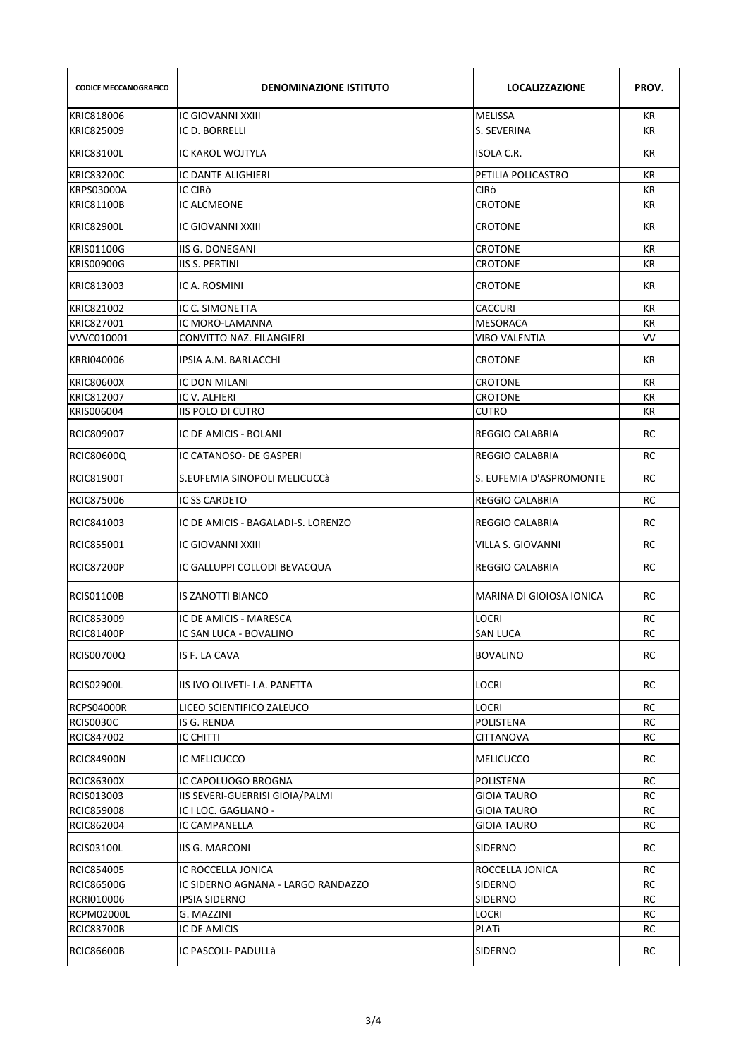| <b>CODICE MECCANOGRAFICO</b> | <b>DENOMINAZIONE ISTITUTO</b>      | <b>LOCALIZZAZIONE</b>    | PROV.     |
|------------------------------|------------------------------------|--------------------------|-----------|
| KRIC818006                   | IC GIOVANNI XXIII                  | <b>MELISSA</b>           | KR        |
| KRIC825009                   | IC D. BORRELLI                     | S. SEVERINA              | KR        |
| <b>KRIC83100L</b>            | IC KAROL WOJTYLA                   | ISOLA C.R.               | KR        |
| <b>KRIC83200C</b>            | IC DANTE ALIGHIERI                 | PETILIA POLICASTRO       | КR        |
| KRPS03000A                   | IC CIRÒ                            | CIRÒ                     | KR        |
| <b>KRIC81100B</b>            | IC ALCMEONE                        | <b>CROTONE</b>           | <b>KR</b> |
| <b>KRIC82900L</b>            | <b>IC GIOVANNI XXIII</b>           | CROTONE                  | KR        |
| <b>KRIS01100G</b>            | IIS G. DONEGANI                    | <b>CROTONE</b>           | KR        |
| <b>KRIS00900G</b>            | <b>IIS S. PERTINI</b>              | <b>CROTONE</b>           | <b>KR</b> |
| KRIC813003                   | IC A. ROSMINI                      | <b>CROTONE</b>           | KR        |
| KRIC821002                   | IC C. SIMONETTA                    | CACCURI                  | <b>KR</b> |
| KRIC827001                   | IC MORO-LAMANNA                    | <b>MESORACA</b>          | КR        |
| VVVC010001                   | CONVITTO NAZ. FILANGIERI           | VIBO VALENTIA            | <b>VV</b> |
| KRRI040006                   | IPSIA A.M. BARLACCHI               | <b>CROTONE</b>           | KR        |
| <b>KRIC80600X</b>            | IC DON MILANI                      | <b>CROTONE</b>           | KR        |
| KRIC812007                   | IC V. ALFIERI                      | <b>CROTONE</b>           | KR        |
| KRIS006004                   | <b>IIS POLO DI CUTRO</b>           | <b>CUTRO</b>             | <b>KR</b> |
| RCIC809007                   | IC DE AMICIS - BOLANI              | REGGIO CALABRIA          | RC        |
| RCIC80600Q                   | IC CATANOSO- DE GASPERI            | REGGIO CALABRIA          | RC        |
| RCIC81900T                   | S.EUFEMIA SINOPOLI MELICUCCà       | S. EUFEMIA D'ASPROMONTE  | <b>RC</b> |
| RCIC875006                   | <b>IC SS CARDETO</b>               | <b>REGGIO CALABRIA</b>   | RC        |
| RCIC841003                   | IC DE AMICIS - BAGALADI-S. LORENZO | REGGIO CALABRIA          | RC        |
| RCIC855001                   | IC GIOVANNI XXIII                  | VILLA S. GIOVANNI        | RC        |
| <b>RCIC87200P</b>            | IC GALLUPPI COLLODI BEVACQUA       | REGGIO CALABRIA          | RC        |
| <b>RCIS01100B</b>            | IS ZANOTTI BIANCO                  | MARINA DI GIOIOSA IONICA | RC        |
| RCIC853009                   | IC DE AMICIS - MARESCA             | LOCRI                    | RC        |
| <b>RCIC81400P</b>            | IC SAN LUCA - BOVALINO             | <b>SAN LUCA</b>          | RC        |
| <b>RCIS00700Q</b>            | IS F. LA CAVA                      | <b>BOVALINO</b>          | RC        |
| <b>RCIS02900L</b>            | IIS IVO OLIVETI- I.A. PANETTA      | LOCRI                    | RC        |
| <b>RCPS04000R</b>            | LICEO SCIENTIFICO ZALEUCO          | LOCRI                    | RC        |
| <b>RCIS0030C</b>             | IS G. RENDA                        | POLISTENA                | <b>RC</b> |
| RCIC847002                   | <b>IC CHITTI</b>                   | CITTANOVA                | RC        |
| <b>RCIC84900N</b>            | IC MELICUCCO                       | <b>MELICUCCO</b>         | RC        |
| <b>RCIC86300X</b>            | IC CAPOLUOGO BROGNA                | <b>POLISTENA</b>         | RC        |
| RCIS013003                   | IIS SEVERI-GUERRISI GIOIA/PALMI    | <b>GIOIA TAURO</b>       | RC        |
| RCIC859008                   | IC I LOC. GAGLIANO -               | <b>GIOIA TAURO</b>       | RC        |
| RCIC862004                   | IC CAMPANELLA                      | <b>GIOIA TAURO</b>       | RC        |
| RCIS03100L                   | <b>IIS G. MARCONI</b>              | SIDERNO                  | RC        |
| RCIC854005                   | IC ROCCELLA JONICA                 | ROCCELLA JONICA          | RC        |
| RCIC86500G                   | IC SIDERNO AGNANA - LARGO RANDAZZO | SIDERNO                  | RC        |
| RCRI010006                   | IPSIA SIDERNO                      | SIDERNO                  | RC        |
| RCPM02000L                   | G. MAZZINI                         | LOCRI                    | RC        |
| <b>RCIC83700B</b>            | IC DE AMICIS                       | PLATI                    | RC        |
| <b>RCIC86600B</b>            | IC PASCOLI- PADULLà                | SIDERNO                  | RC        |